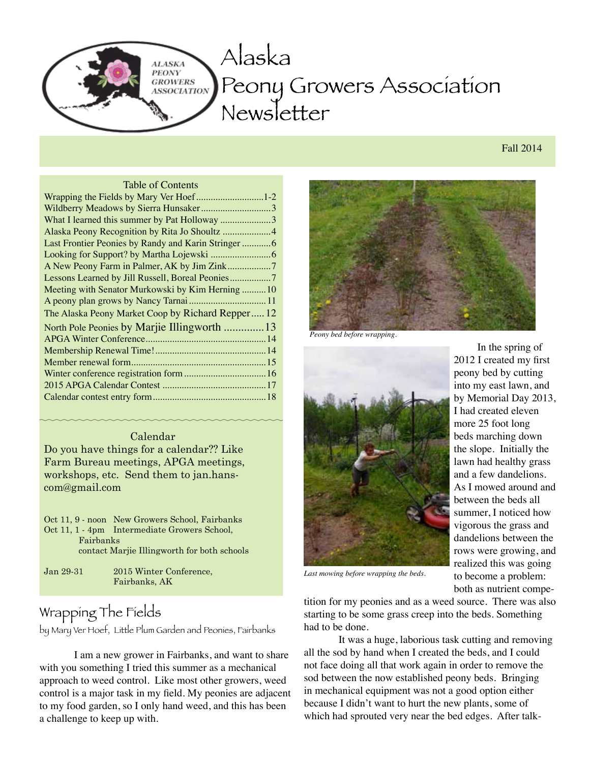#### Alaska **ALASKA** PEONY **GROWERS** Peony Growers Association **ASSOCIATION** Newsletter

#### Fall 2014

#### Table of Contents

| Wildberry Meadows by Sierra Hunsaker3             |  |
|---------------------------------------------------|--|
| What I learned this summer by Pat Holloway 3      |  |
|                                                   |  |
|                                                   |  |
|                                                   |  |
| A New Peony Farm in Palmer, AK by Jim Zink7       |  |
| Lessons Learned by Jill Russell, Boreal Peonies7  |  |
| Meeting with Senator Murkowski by Kim Herning  10 |  |
|                                                   |  |
| The Alaska Peony Market Coop by Richard Repper 12 |  |
| North Pole Peonies by Marjie Illingworth  13      |  |
|                                                   |  |
|                                                   |  |
|                                                   |  |
|                                                   |  |
|                                                   |  |
|                                                   |  |

#### Calendar

Do you have things for a calendar?? Like Farm Bureau meetings, APGA meetings, workshops, etc. Send them to jan.hanscom@gmail.com

Oct 11, 9 - noon New Growers School, Fairbanks Oct 11, 1 - 4pm Intermediate Growers School, Fairbanks contact Marjie Illingworth for both schools

Jan 29-31 2015 Winter Conference, Fairbanks, AK

# Wrapping The Fields

by Mary Ver Hoef, Little Plum Garden and Peonies, Fairbanks

I am a new grower in Fairbanks, and want to share with you something I tried this summer as a mechanical approach to weed control. Like most other growers, weed control is a major task in my field. My peonies are adjacent to my food garden, so I only hand weed, and this has been a challenge to keep up with.



*Peony bed before wrapping.*



In the spring of 2012 I created my first peony bed by cutting into my east lawn, and by Memorial Day 2013, I had created eleven more 25 foot long beds marching down the slope. Initially the lawn had healthy grass and a few dandelions. As I mowed around and between the beds all summer, I noticed how vigorous the grass and dandelions between the rows were growing, and realized this was going to become a problem: both as nutrient compe-

*Last mowing before wrapping the beds.*

tition for my peonies and as a weed source. There was also starting to be some grass creep into the beds. Something had to be done.

It was a huge, laborious task cutting and removing all the sod by hand when I created the beds, and I could not face doing all that work again in order to remove the sod between the now established peony beds. Bringing in mechanical equipment was not a good option either because I didn't want to hurt the new plants, some of which had sprouted very near the bed edges. After talk-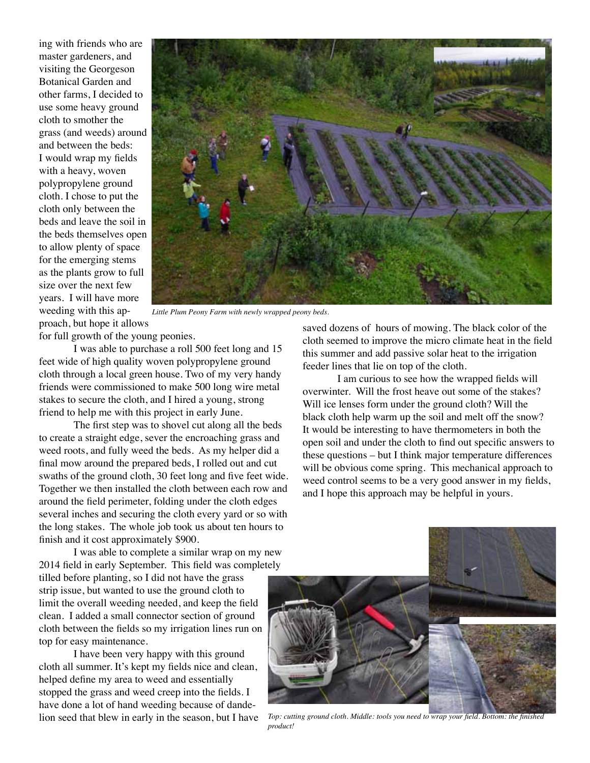ing with friends who are master gardeners, and visiting the Georgeson Botanical Garden and other farms, I decided to use some heavy ground cloth to smother the grass (and weeds) around and between the beds: I would wrap my fields with a heavy, woven polypropylene ground cloth. I chose to put the cloth only between the beds and leave the soil in the beds themselves open to allow plenty of space for the emerging stems as the plants grow to full size over the next few years. I will have more weeding with this approach, but hope it allows



*Little Plum Peony Farm with newly wrapped peony beds.*

for full growth of the young peonies.

I was able to purchase a roll 500 feet long and 15 feet wide of high quality woven polypropylene ground cloth through a local green house. Two of my very handy friends were commissioned to make 500 long wire metal stakes to secure the cloth, and I hired a young, strong friend to help me with this project in early June.

The first step was to shovel cut along all the beds to create a straight edge, sever the encroaching grass and weed roots, and fully weed the beds. As my helper did a final mow around the prepared beds, I rolled out and cut swaths of the ground cloth, 30 feet long and five feet wide. Together we then installed the cloth between each row and around the field perimeter, folding under the cloth edges several inches and securing the cloth every yard or so with the long stakes. The whole job took us about ten hours to finish and it cost approximately \$900.

I was able to complete a similar wrap on my new 2014 field in early September. This field was completely

tilled before planting, so I did not have the grass strip issue, but wanted to use the ground cloth to limit the overall weeding needed, and keep the field clean. I added a small connector section of ground cloth between the fields so my irrigation lines run on top for easy maintenance.

I have been very happy with this ground cloth all summer. It's kept my fields nice and clean, helped define my area to weed and essentially stopped the grass and weed creep into the fields. I have done a lot of hand weeding because of dandelion seed that blew in early in the season, but I have saved dozens of hours of mowing. The black color of the cloth seemed to improve the micro climate heat in the field this summer and add passive solar heat to the irrigation feeder lines that lie on top of the cloth.

I am curious to see how the wrapped fields will overwinter. Will the frost heave out some of the stakes? Will ice lenses form under the ground cloth? Will the black cloth help warm up the soil and melt off the snow? It would be interesting to have thermometers in both the open soil and under the cloth to find out specific answers to these questions – but I think major temperature differences will be obvious come spring. This mechanical approach to weed control seems to be a very good answer in my fields, and I hope this approach may be helpful in yours.



*Top: cutting ground cloth. Middle: tools you need to wrap your field. Bottom: the finished product!*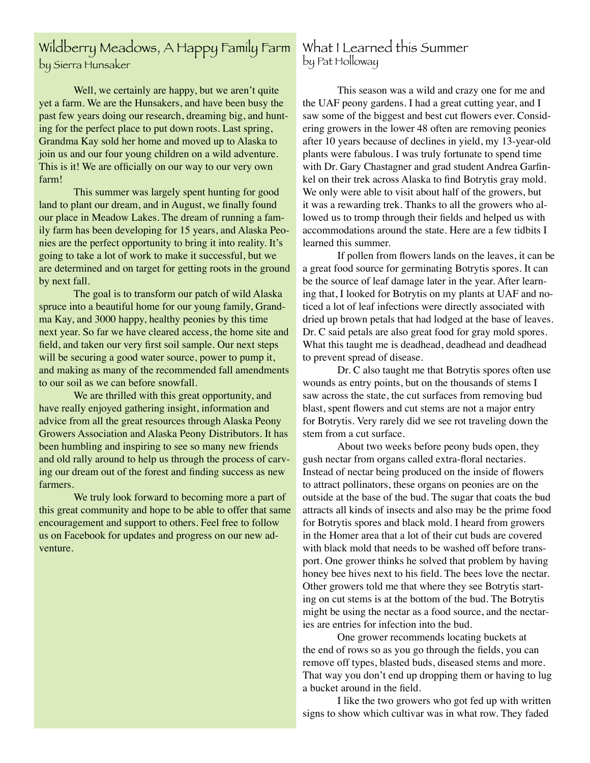# Wildberry Meadows, A Happy Family Farm by Sierra Hunsaker

Well, we certainly are happy, but we aren't quite yet a farm. We are the Hunsakers, and have been busy the past few years doing our research, dreaming big, and hunting for the perfect place to put down roots. Last spring, Grandma Kay sold her home and moved up to Alaska to join us and our four young children on a wild adventure. This is it! We are officially on our way to our very own farm!

This summer was largely spent hunting for good land to plant our dream, and in August, we finally found our place in Meadow Lakes. The dream of running a family farm has been developing for 15 years, and Alaska Peonies are the perfect opportunity to bring it into reality. It's going to take a lot of work to make it successful, but we are determined and on target for getting roots in the ground by next fall.

The goal is to transform our patch of wild Alaska spruce into a beautiful home for our young family, Grandma Kay, and 3000 happy, healthy peonies by this time next year. So far we have cleared access, the home site and field, and taken our very first soil sample. Our next steps will be securing a good water source, power to pump it, and making as many of the recommended fall amendments to our soil as we can before snowfall.

We are thrilled with this great opportunity, and have really enjoyed gathering insight, information and advice from all the great resources through Alaska Peony Growers Association and Alaska Peony Distributors. It has been humbling and inspiring to see so many new friends and old rally around to help us through the process of carving our dream out of the forest and finding success as new farmers.

We truly look forward to becoming more a part of this great community and hope to be able to offer that same encouragement and support to others. Feel free to follow us on Facebook for updates and progress on our new adventure.

## What I Learned this Summer by Pat Holloway

This season was a wild and crazy one for me and the UAF peony gardens. I had a great cutting year, and I saw some of the biggest and best cut flowers ever. Considering growers in the lower 48 often are removing peonies after 10 years because of declines in yield, my 13-year-old plants were fabulous. I was truly fortunate to spend time with Dr. Gary Chastagner and grad student Andrea Garfinkel on their trek across Alaska to find Botrytis gray mold. We only were able to visit about half of the growers, but it was a rewarding trek. Thanks to all the growers who allowed us to tromp through their fields and helped us with accommodations around the state. Here are a few tidbits I learned this summer.

If pollen from flowers lands on the leaves, it can be a great food source for germinating Botrytis spores. It can be the source of leaf damage later in the year. After learning that, I looked for Botrytis on my plants at UAF and noticed a lot of leaf infections were directly associated with dried up brown petals that had lodged at the base of leaves. Dr. C said petals are also great food for gray mold spores. What this taught me is deadhead, deadhead and deadhead to prevent spread of disease.

Dr. C also taught me that Botrytis spores often use wounds as entry points, but on the thousands of stems I saw across the state, the cut surfaces from removing bud blast, spent flowers and cut stems are not a major entry for Botrytis. Very rarely did we see rot traveling down the stem from a cut surface.

About two weeks before peony buds open, they gush nectar from organs called extra-floral nectaries. Instead of nectar being produced on the inside of flowers to attract pollinators, these organs on peonies are on the outside at the base of the bud. The sugar that coats the bud attracts all kinds of insects and also may be the prime food for Botrytis spores and black mold. I heard from growers in the Homer area that a lot of their cut buds are covered with black mold that needs to be washed off before transport. One grower thinks he solved that problem by having honey bee hives next to his field. The bees love the nectar. Other growers told me that where they see Botrytis starting on cut stems is at the bottom of the bud. The Botrytis might be using the nectar as a food source, and the nectaries are entries for infection into the bud.

One grower recommends locating buckets at the end of rows so as you go through the fields, you can remove off types, blasted buds, diseased stems and more. That way you don't end up dropping them or having to lug a bucket around in the field.

I like the two growers who got fed up with written signs to show which cultivar was in what row. They faded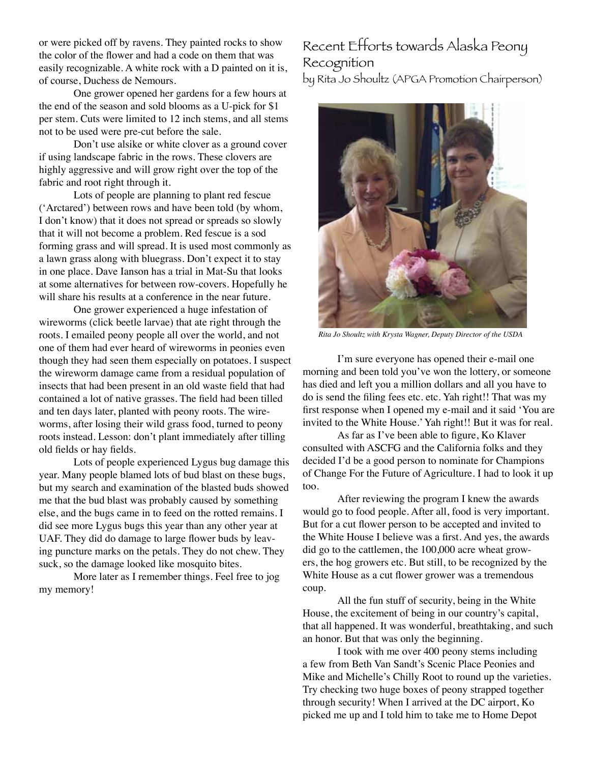or were picked off by ravens. They painted rocks to show the color of the flower and had a code on them that was easily recognizable. A white rock with a D painted on it is, of course, Duchess de Nemours.

One grower opened her gardens for a few hours at the end of the season and sold blooms as a U-pick for \$1 per stem. Cuts were limited to 12 inch stems, and all stems not to be used were pre-cut before the sale.

Don't use alsike or white clover as a ground cover if using landscape fabric in the rows. These clovers are highly aggressive and will grow right over the top of the fabric and root right through it.

Lots of people are planning to plant red fescue ('Arctared') between rows and have been told (by whom, I don't know) that it does not spread or spreads so slowly that it will not become a problem. Red fescue is a sod forming grass and will spread. It is used most commonly as a lawn grass along with bluegrass. Don't expect it to stay in one place. Dave Ianson has a trial in Mat-Su that looks at some alternatives for between row-covers. Hopefully he will share his results at a conference in the near future.

One grower experienced a huge infestation of wireworms (click beetle larvae) that ate right through the roots. I emailed peony people all over the world, and not one of them had ever heard of wireworms in peonies even though they had seen them especially on potatoes. I suspect the wireworm damage came from a residual population of insects that had been present in an old waste field that had contained a lot of native grasses. The field had been tilled and ten days later, planted with peony roots. The wireworms, after losing their wild grass food, turned to peony roots instead. Lesson: don't plant immediately after tilling old fields or hay fields.

Lots of people experienced Lygus bug damage this year. Many people blamed lots of bud blast on these bugs, but my search and examination of the blasted buds showed me that the bud blast was probably caused by something else, and the bugs came in to feed on the rotted remains. I did see more Lygus bugs this year than any other year at UAF. They did do damage to large flower buds by leaving puncture marks on the petals. They do not chew. They suck, so the damage looked like mosquito bites.

More later as I remember things. Feel free to jog my memory!

# Recent Efforts towards Alaska Peony Recognition

by Rita Jo Shoultz (APGA Promotion Chairperson)



*Rita Jo Shoultz with Krysta Wagner, Deputy Director of the USDA*

I'm sure everyone has opened their e-mail one morning and been told you've won the lottery, or someone has died and left you a million dollars and all you have to do is send the filing fees etc. etc. Yah right!! That was my first response when I opened my e-mail and it said 'You are invited to the White House.' Yah right!! But it was for real.

As far as I've been able to figure, Ko Klaver consulted with ASCFG and the California folks and they decided I'd be a good person to nominate for Champions of Change For the Future of Agriculture. I had to look it up too.

After reviewing the program I knew the awards would go to food people. After all, food is very important. But for a cut flower person to be accepted and invited to the White House I believe was a first. And yes, the awards did go to the cattlemen, the 100,000 acre wheat growers, the hog growers etc. But still, to be recognized by the White House as a cut flower grower was a tremendous coup.

All the fun stuff of security, being in the White House, the excitement of being in our country's capital, that all happened. It was wonderful, breathtaking, and such an honor. But that was only the beginning.

I took with me over 400 peony stems including a few from Beth Van Sandt's Scenic Place Peonies and Mike and Michelle's Chilly Root to round up the varieties. Try checking two huge boxes of peony strapped together through security! When I arrived at the DC airport, Ko picked me up and I told him to take me to Home Depot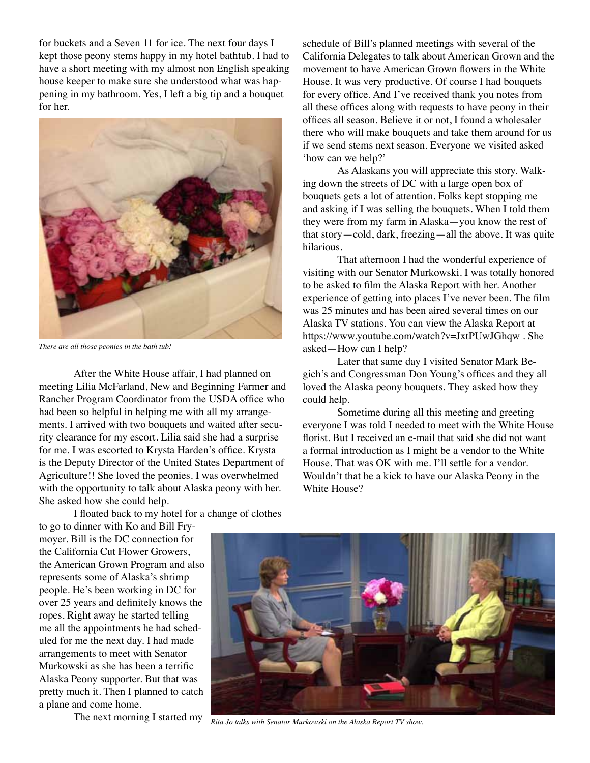for buckets and a Seven 11 for ice. The next four days I kept those peony stems happy in my hotel bathtub. I had to have a short meeting with my almost non English speaking house keeper to make sure she understood what was happening in my bathroom. Yes, I left a big tip and a bouquet for her.



*There are all those peonies in the bath tub!*

After the White House affair, I had planned on meeting Lilia McFarland, New and Beginning Farmer and Rancher Program Coordinator from the USDA office who had been so helpful in helping me with all my arrangements. I arrived with two bouquets and waited after security clearance for my escort. Lilia said she had a surprise for me. I was escorted to Krysta Harden's office. Krysta is the Deputy Director of the United States Department of Agriculture!! She loved the peonies. I was overwhelmed with the opportunity to talk about Alaska peony with her. She asked how she could help.

I floated back to my hotel for a change of clothes

to go to dinner with Ko and Bill Frymoyer. Bill is the DC connection for the California Cut Flower Growers, the American Grown Program and also represents some of Alaska's shrimp people. He's been working in DC for over 25 years and definitely knows the ropes. Right away he started telling me all the appointments he had scheduled for me the next day. I had made arrangements to meet with Senator Murkowski as she has been a terrific Alaska Peony supporter. But that was pretty much it. Then I planned to catch a plane and come home.

The next morning I started my

schedule of Bill's planned meetings with several of the California Delegates to talk about American Grown and the movement to have American Grown flowers in the White House. It was very productive. Of course I had bouquets for every office. And I've received thank you notes from all these offices along with requests to have peony in their offices all season. Believe it or not, I found a wholesaler there who will make bouquets and take them around for us if we send stems next season. Everyone we visited asked 'how can we help?'

As Alaskans you will appreciate this story. Walking down the streets of DC with a large open box of bouquets gets a lot of attention. Folks kept stopping me and asking if I was selling the bouquets. When I told them they were from my farm in Alaska—you know the rest of that story—cold, dark, freezing—all the above. It was quite hilarious.

That afternoon I had the wonderful experience of visiting with our Senator Murkowski. I was totally honored to be asked to film the Alaska Report with her. Another experience of getting into places I've never been. The film was 25 minutes and has been aired several times on our Alaska TV stations. You can view the Alaska Report at https://www.youtube.com/watch?v=JxtPUwJGhqw . She asked—How can I help?

Later that same day I visited Senator Mark Begich's and Congressman Don Young's offices and they all loved the Alaska peony bouquets. They asked how they could help.

Sometime during all this meeting and greeting everyone I was told I needed to meet with the White House florist. But I received an e-mail that said she did not want a formal introduction as I might be a vendor to the White House. That was OK with me. I'll settle for a vendor. Wouldn't that be a kick to have our Alaska Peony in the White House?



*Rita Jo talks with Senator Murkowski on the Alaska Report TV show.*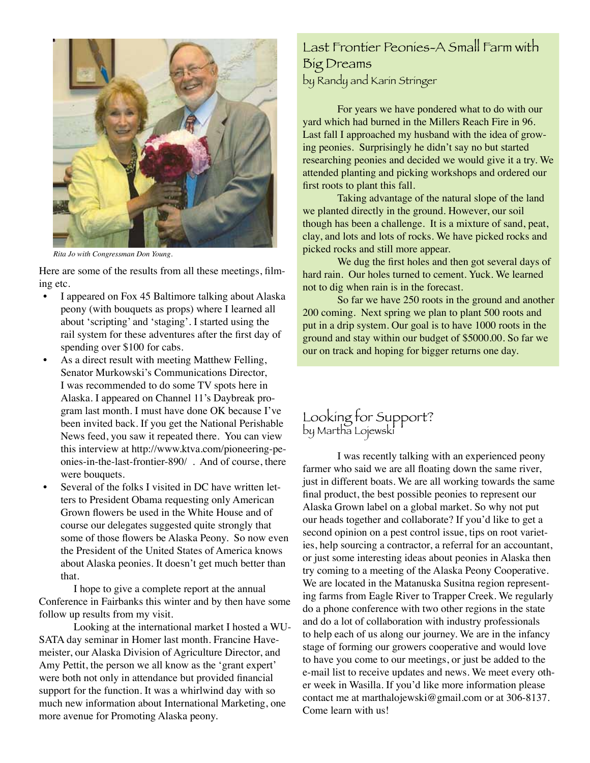

*Rita Jo with Congressman Don Young.*

Here are some of the results from all these meetings, filming etc.

- I appeared on Fox 45 Baltimore talking about Alaska peony (with bouquets as props) where I learned all about 'scripting' and 'staging'. I started using the rail system for these adventures after the first day of spending over \$100 for cabs.
- As a direct result with meeting Matthew Felling, Senator Murkowski's Communications Director, I was recommended to do some TV spots here in Alaska. I appeared on Channel 11's Daybreak program last month. I must have done OK because I've been invited back. If you get the National Perishable News feed, you saw it repeated there. You can view this interview at http://www.ktva.com/pioneering-peonies-in-the-last-frontier-890/ . And of course, there were bouquets.
- Several of the folks I visited in DC have written letters to President Obama requesting only American Grown flowers be used in the White House and of course our delegates suggested quite strongly that some of those flowers be Alaska Peony. So now even the President of the United States of America knows about Alaska peonies. It doesn't get much better than that.

I hope to give a complete report at the annual Conference in Fairbanks this winter and by then have some follow up results from my visit.

Looking at the international market I hosted a WU-SATA day seminar in Homer last month. Francine Havemeister, our Alaska Division of Agriculture Director, and Amy Pettit, the person we all know as the 'grant expert' were both not only in attendance but provided financial support for the function. It was a whirlwind day with so much new information about International Marketing, one more avenue for Promoting Alaska peony.

# Last Frontier Peonies-A Small Farm with Big Dreams by Randy and Karin Stringer

For years we have pondered what to do with our yard which had burned in the Millers Reach Fire in 96. Last fall I approached my husband with the idea of growing peonies. Surprisingly he didn't say no but started researching peonies and decided we would give it a try. We attended planting and picking workshops and ordered our first roots to plant this fall.

Taking advantage of the natural slope of the land we planted directly in the ground. However, our soil though has been a challenge. It is a mixture of sand, peat, clay, and lots and lots of rocks. We have picked rocks and picked rocks and still more appear.

We dug the first holes and then got several days of hard rain. Our holes turned to cement. Yuck. We learned not to dig when rain is in the forecast.

So far we have 250 roots in the ground and another 200 coming. Next spring we plan to plant 500 roots and put in a drip system. Our goal is to have 1000 roots in the ground and stay within our budget of \$5000.00. So far we our on track and hoping for bigger returns one day.

## Looking for Support? by Martha Lojewski

I was recently talking with an experienced peony farmer who said we are all floating down the same river, just in different boats. We are all working towards the same final product, the best possible peonies to represent our Alaska Grown label on a global market. So why not put our heads together and collaborate? If you'd like to get a second opinion on a pest control issue, tips on root varieties, help sourcing a contractor, a referral for an accountant, or just some interesting ideas about peonies in Alaska then try coming to a meeting of the Alaska Peony Cooperative. We are located in the Matanuska Susitna region representing farms from Eagle River to Trapper Creek. We regularly do a phone conference with two other regions in the state and do a lot of collaboration with industry professionals to help each of us along our journey. We are in the infancy stage of forming our growers cooperative and would love to have you come to our meetings, or just be added to the e-mail list to receive updates and news. We meet every other week in Wasilla. If you'd like more information please contact me at marthalojewski@gmail.com or at 306-8137. Come learn with us!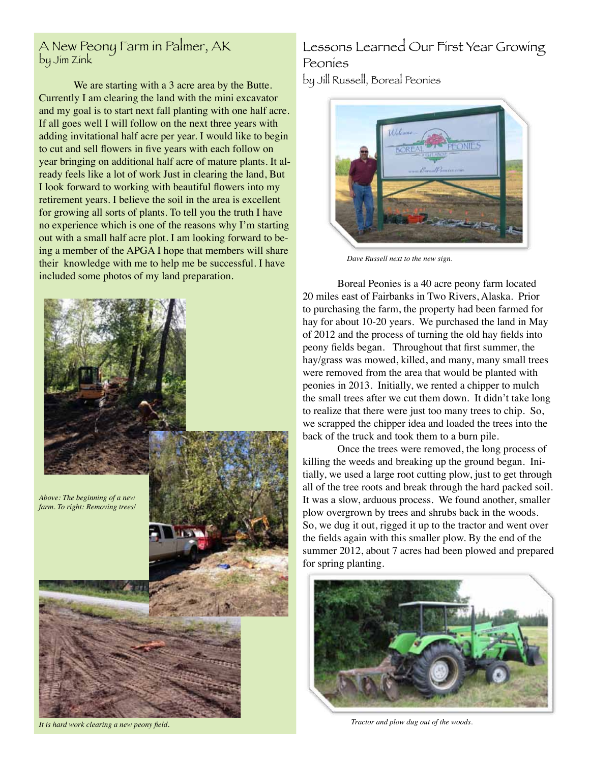## A New Peony Farm in Palmer, AK by Jim Zink

We are starting with a 3 acre area by the Butte. Currently I am clearing the land with the mini excavator and my goal is to start next fall planting with one half acre. If all goes well I will follow on the next three years with adding invitational half acre per year. I would like to begin to cut and sell flowers in five years with each follow on year bringing on additional half acre of mature plants. It already feels like a lot of work Just in clearing the land, But I look forward to working with beautiful flowers into my retirement years. I believe the soil in the area is excellent for growing all sorts of plants. To tell you the truth I have no experience which is one of the reasons why I'm starting out with a small half acre plot. I am looking forward to being a member of the APGA I hope that members will share their knowledge with me to help me be successful. I have included some photos of my land preparation.



*Above: The beginning of a new farm. To right: Removing trees/*



*It is hard work clearing a new peony field.*

# Lessons Learned Our First Year Growing Peonies

by Jill Russell, Boreal Peonies



*Dave Russell next to the new sign.*

Boreal Peonies is a 40 acre peony farm located 20 miles east of Fairbanks in Two Rivers, Alaska. Prior to purchasing the farm, the property had been farmed for hay for about 10-20 years. We purchased the land in May of 2012 and the process of turning the old hay fields into peony fields began. Throughout that first summer, the hay/grass was mowed, killed, and many, many small trees were removed from the area that would be planted with peonies in 2013. Initially, we rented a chipper to mulch the small trees after we cut them down. It didn't take long to realize that there were just too many trees to chip. So, we scrapped the chipper idea and loaded the trees into the back of the truck and took them to a burn pile.

Once the trees were removed, the long process of killing the weeds and breaking up the ground began. Initially, we used a large root cutting plow, just to get through all of the tree roots and break through the hard packed soil. It was a slow, arduous process. We found another, smaller plow overgrown by trees and shrubs back in the woods. So, we dug it out, rigged it up to the tractor and went over the fields again with this smaller plow. By the end of the summer 2012, about 7 acres had been plowed and prepared for spring planting.



*Tractor and plow dug out of the woods.*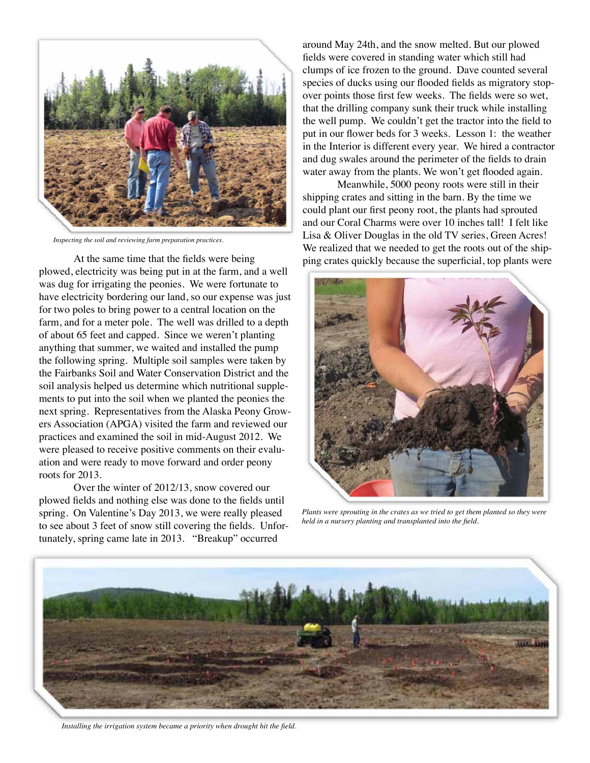

*Inspecting the soil and reviewing farm preparation practices.*

At the same time that the fields were being plowed, electricity was being put in at the farm, and a well was dug for irrigating the peonies. We were fortunate to have electricity bordering our land, so our expense was just for two poles to bring power to a central location on the farm, and for a meter pole. The well was drilled to a depth of about 65 feet and capped. Since we weren't planting anything that summer, we waited and installed the pump the following spring. Multiple soil samples were taken by the Fairbanks Soil and Water Conservation District and the soil analysis helped us determine which nutritional supplements to put into the soil when we planted the peonies the next spring. Representatives from the Alaska Peony Growers Association (APGA) visited the farm and reviewed our practices and examined the soil in mid-August 2012. We were pleased to receive positive comments on their evaluation and were ready to move forward and order peony roots for 2013.

Over the winter of 2012/13, snow covered our plowed fields and nothing else was done to the fields until spring. On Valentine's Day 2013, we were really pleased to see about 3 feet of snow still covering the fields. Unfortunately, spring came late in 2013. "Breakup" occurred

around May 24th, and the snow melted. But our plowed fields were covered in standing water which still had clumps of ice frozen to the ground. Dave counted several species of ducks using our flooded fields as migratory stopover points those first few weeks. The fields were so wet, that the drilling company sunk their truck while installing the well pump. We couldn't get the tractor into the field to put in our flower beds for 3 weeks. Lesson 1: the weather in the Interior is different every year. We hired a contractor and dug swales around the perimeter of the fields to drain water away from the plants. We won't get flooded again.

Meanwhile, 5000 peony roots were still in their shipping crates and sitting in the barn. By the time we could plant our first peony root, the plants had sprouted and our Coral Charms were over 10 inches tall! I felt like Lisa & Oliver Douglas in the old TV series, Green Acres! We realized that we needed to get the roots out of the shipping crates quickly because the superficial, top plants were



*Plants were sprouting in the crates as we tried to get them planted so they were held in a nursery planting and transplanted into the field.*



*Installing the irrigation system became a priority when drought hit the field.*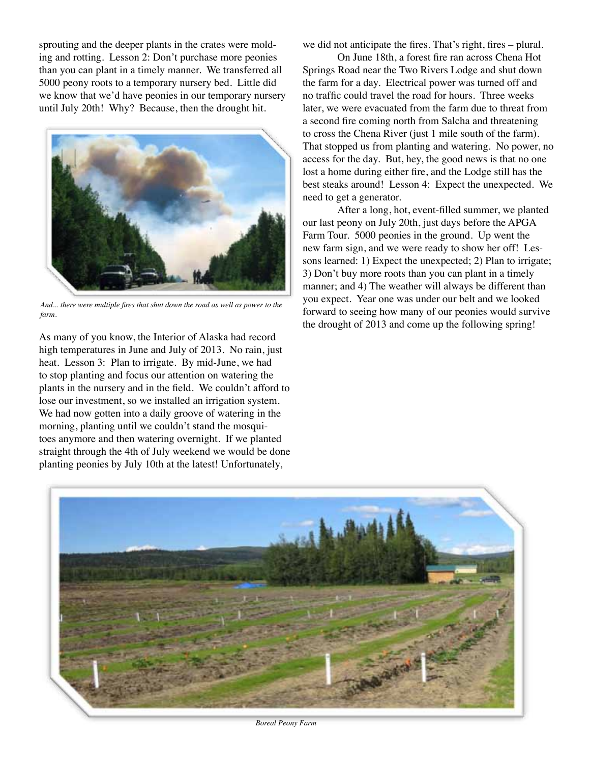sprouting and the deeper plants in the crates were molding and rotting. Lesson 2: Don't purchase more peonies than you can plant in a timely manner. We transferred all 5000 peony roots to a temporary nursery bed. Little did we know that we'd have peonies in our temporary nursery until July 20th! Why? Because, then the drought hit.



*And... there were multiple fires that shut down the road as well as power to the farm.*

As many of you know, the Interior of Alaska had record high temperatures in June and July of 2013. No rain, just heat. Lesson 3: Plan to irrigate. By mid-June, we had to stop planting and focus our attention on watering the plants in the nursery and in the field. We couldn't afford to lose our investment, so we installed an irrigation system. We had now gotten into a daily groove of watering in the morning, planting until we couldn't stand the mosquitoes anymore and then watering overnight. If we planted straight through the 4th of July weekend we would be done planting peonies by July 10th at the latest! Unfortunately,

we did not anticipate the fires. That's right, fires – plural.

On June 18th, a forest fire ran across Chena Hot Springs Road near the Two Rivers Lodge and shut down the farm for a day. Electrical power was turned off and no traffic could travel the road for hours. Three weeks later, we were evacuated from the farm due to threat from a second fire coming north from Salcha and threatening to cross the Chena River (just 1 mile south of the farm). That stopped us from planting and watering. No power, no access for the day. But, hey, the good news is that no one lost a home during either fire, and the Lodge still has the best steaks around! Lesson 4: Expect the unexpected. We need to get a generator.

After a long, hot, event-filled summer, we planted our last peony on July 20th, just days before the APGA Farm Tour. 5000 peonies in the ground. Up went the new farm sign, and we were ready to show her off! Lessons learned: 1) Expect the unexpected; 2) Plan to irrigate; 3) Don't buy more roots than you can plant in a timely manner; and 4) The weather will always be different than you expect. Year one was under our belt and we looked forward to seeing how many of our peonies would survive the drought of 2013 and come up the following spring!



*Boreal Peony Farm*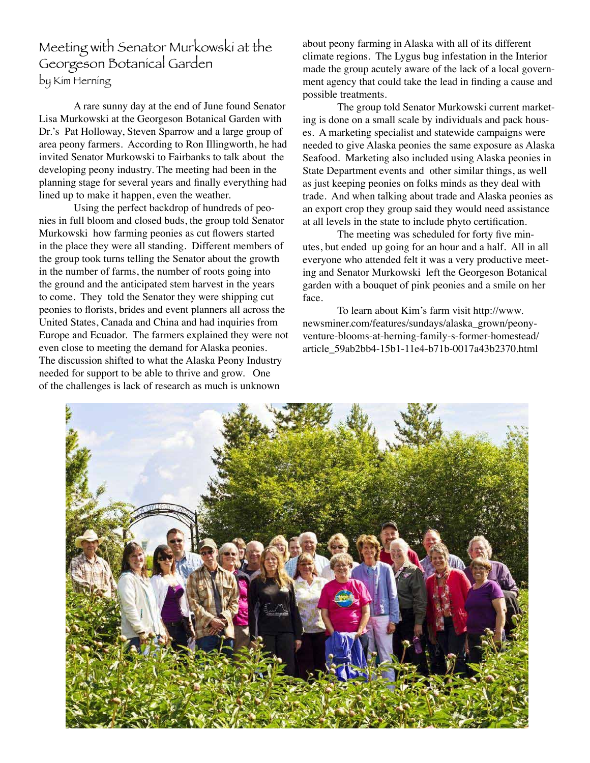Meeting with Senator Murkowski at the Georgeson Botanical Garden by Kim Herning

A rare sunny day at the end of June found Senator Lisa Murkowski at the Georgeson Botanical Garden with Dr.'s Pat Holloway, Steven Sparrow and a large group of area peony farmers. According to Ron Illingworth, he had invited Senator Murkowski to Fairbanks to talk about the developing peony industry. The meeting had been in the planning stage for several years and finally everything had lined up to make it happen, even the weather.

Using the perfect backdrop of hundreds of peonies in full bloom and closed buds, the group told Senator Murkowski how farming peonies as cut flowers started in the place they were all standing. Different members of the group took turns telling the Senator about the growth in the number of farms, the number of roots going into the ground and the anticipated stem harvest in the years to come. They told the Senator they were shipping cut peonies to florists, brides and event planners all across the United States, Canada and China and had inquiries from Europe and Ecuador. The farmers explained they were not even close to meeting the demand for Alaska peonies. The discussion shifted to what the Alaska Peony Industry needed for support to be able to thrive and grow. One of the challenges is lack of research as much is unknown

about peony farming in Alaska with all of its different climate regions. The Lygus bug infestation in the Interior made the group acutely aware of the lack of a local government agency that could take the lead in finding a cause and possible treatments.

The group told Senator Murkowski current marketing is done on a small scale by individuals and pack houses. A marketing specialist and statewide campaigns were needed to give Alaska peonies the same exposure as Alaska Seafood. Marketing also included using Alaska peonies in State Department events and other similar things, as well as just keeping peonies on folks minds as they deal with trade. And when talking about trade and Alaska peonies as an export crop they group said they would need assistance at all levels in the state to include phyto certification.

The meeting was scheduled for forty five minutes, but ended up going for an hour and a half. All in all everyone who attended felt it was a very productive meeting and Senator Murkowski left the Georgeson Botanical garden with a bouquet of pink peonies and a smile on her face.

To learn about Kim's farm visit http://www. newsminer.com/features/sundays/alaska\_grown/peonyventure-blooms-at-herning-family-s-former-homestead/ article\_59ab2bb4-15b1-11e4-b71b-0017a43b2370.html

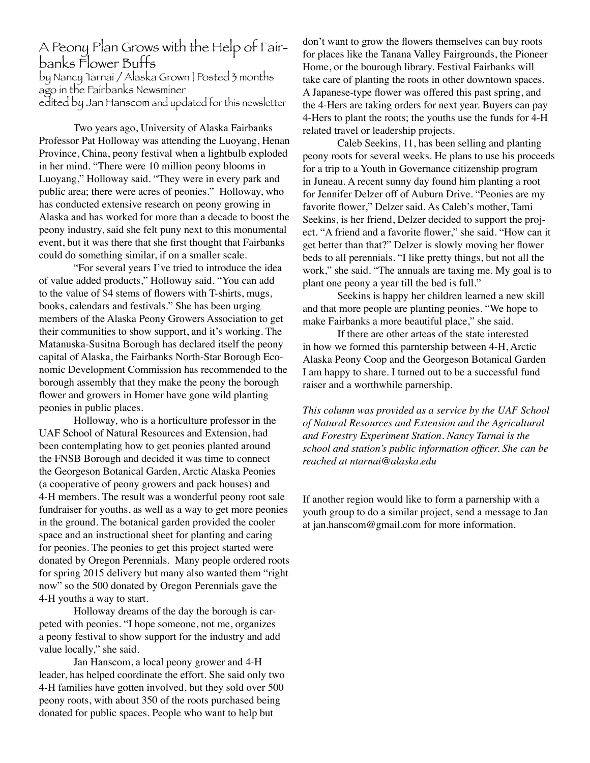A Peony Plan Grows with the Help of Fairbanks Flower Buffs by Nancy Tarnai / Alaska Grown | Posted 3 months ago in the Fairbanks Newsminer edited by Jan Hanscom and updated for this newsletter

Two years ago, University of Alaska Fairbanks Professor Pat Holloway was attending the Luoyang, Henan Province, China, peony festival when a lightbulb exploded in her mind. "There were 10 million peony blooms in Luoyang," Holloway said. "They were in every park and public area; there were acres of peonies." Holloway, who has conducted extensive research on peony growing in Alaska and has worked for more than a decade to boost the peony industry, said she felt puny next to this monumental event, but it was there that she first thought that Fairbanks could do something similar, if on a smaller scale.

"For several years I've tried to introduce the idea of value added products," Holloway said. "You can add to the value of \$4 stems of flowers with T-shirts, mugs, books, calendars and festivals." She has been urging members of the Alaska Peony Growers Association to get their communities to show support, and it's working. The Matanuska-Susitna Borough has declared itself the peony capital of Alaska, the Fairbanks North-Star Borough Economic Development Commission has recommended to the borough assembly that they make the peony the borough flower and growers in Homer have gone wild planting peonies in public places.

Holloway, who is a horticulture professor in the UAF School of Natural Resources and Extension, had been contemplating how to get peonies planted around the FNSB Borough and decided it was time to connect the Georgeson Botanical Garden, Arctic Alaska Peonies (a cooperative of peony growers and pack houses) and 4-H members. The result was a wonderful peony root sale fundraiser for youths, as well as a way to get more peonies in the ground. The botanical garden provided the cooler space and an instructional sheet for planting and caring for peonies. The peonies to get this project started were donated by Oregon Perennials. Many people ordered roots for spring 2015 delivery but many also wanted them "right now" so the 500 donated by Oregon Perennials gave the 4-H youths a way to start.

Holloway dreams of the day the borough is carpeted with peonies. "I hope someone, not me, organizes a peony festival to show support for the industry and add value locally," she said.

Jan Hanscom, a local peony grower and 4-H leader, has helped coordinate the effort. She said only two 4-H families have gotten involved, but they sold over 500 peony roots, with about 350 of the roots purchased being donated for public spaces. People who want to help but

don't want to grow the flowers themselves can buy roots for places like the Tanana Valley Fairgrounds, the Pioneer Home, or the bourough library. Festival Fairbanks will take care of planting the roots in other downtown spaces. A Japanese-type flower was offered this past spring, and the 4-Hers are taking orders for next year. Buyers can pay 4-Hers to plant the roots; the youths use the funds for 4-H related travel or leadership projects.

Caleb Seekins, 11, has been selling and planting peony roots for several weeks. He plans to use his proceeds for a trip to a Youth in Governance citizenship program in Juneau. A recent sunny day found him planting a root for Jennifer Delzer off of Auburn Drive. "Peonies are my favorite flower," Delzer said. As Caleb's mother, Tami Seekins, is her friend, Delzer decided to support the project. "A friend and a favorite flower," she said. "How can it get better than that?" Delzer is slowly moving her flower beds to all perennials. "I like pretty things, but not all the work," she said. "The annuals are taxing me. My goal is to plant one peony a year till the bed is full."

Seekins is happy her children learned a new skill and that more people are planting peonies. "We hope to make Fairbanks a more beautiful place," she said.

If there are other arteas of the state interested in how we formed this parntership between 4-H, Arctic Alaska Peony Coop and the Georgeson Botanical Garden I am happy to share. I turned out to be a successful fund raiser and a worthwhile parnership.

*This column was provided as a service by the UAF School of Natural Resources and Extension and the Agricultural and Forestry Experiment Station. Nancy Tarnai is the school and station's public information officer. She can be reached at ntarnai@alaska.edu*

If another region would like to form a parnership with a youth group to do a similar project, send a message to Jan at jan.hanscom@gmail.com for more information.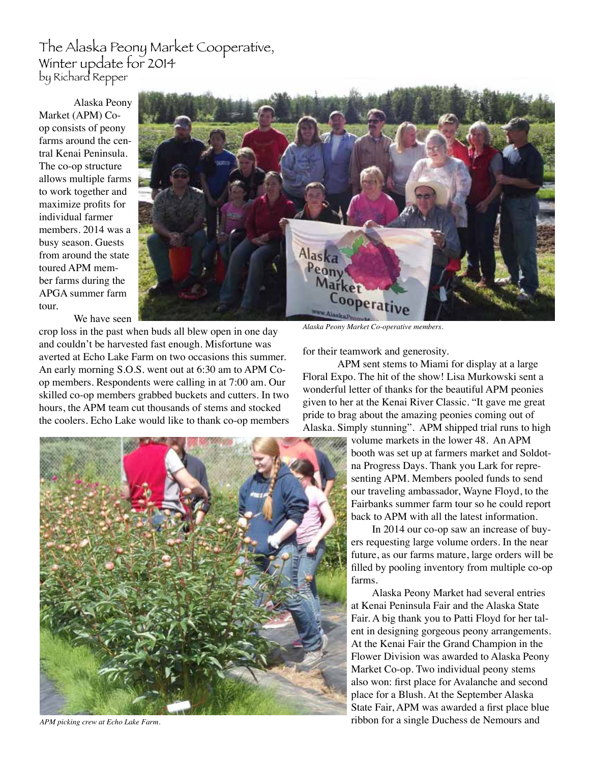## The Alaska Peony Market Cooperative, Winter update for 2014 by Richard Repper

Alaska Peony Market (APM) Coop consists of peony farms around the central Kenai Peninsula. The co-op structure allows multiple farms to work together and maximize profits for individual farmer members. 2014 was a busy season. Guests from around the state toured APM member farms during the APGA summer farm tour.



We have seen

crop loss in the past when buds all blew open in one day and couldn't be harvested fast enough. Misfortune was averted at Echo Lake Farm on two occasions this summer. An early morning S.O.S. went out at 6:30 am to APM Coop members. Respondents were calling in at 7:00 am. Our skilled co-op members grabbed buckets and cutters. In two hours, the APM team cut thousands of stems and stocked the coolers. Echo Lake would like to thank co-op members



*APM picking crew at Echo Lake Farm.*

*Alaska Peony Market Co-operative members.*

for their teamwork and generosity.

APM sent stems to Miami for display at a large Floral Expo. The hit of the show! Lisa Murkowski sent a wonderful letter of thanks for the beautiful APM peonies given to her at the Kenai River Classic. "It gave me great pride to brag about the amazing peonies coming out of Alaska. Simply stunning". APM shipped trial runs to high

> volume markets in the lower 48. An APM booth was set up at farmers market and Soldotna Progress Days. Thank you Lark for representing APM. Members pooled funds to send our traveling ambassador, Wayne Floyd, to the Fairbanks summer farm tour so he could report back to APM with all the latest information.

In 2014 our co-op saw an increase of buyers requesting large volume orders. In the near future, as our farms mature, large orders will be filled by pooling inventory from multiple co-op farms.

Alaska Peony Market had several entries at Kenai Peninsula Fair and the Alaska State Fair. A big thank you to Patti Floyd for her talent in designing gorgeous peony arrangements. At the Kenai Fair the Grand Champion in the Flower Division was awarded to Alaska Peony Market Co-op. Two individual peony stems also won: first place for Avalanche and second place for a Blush. At the September Alaska State Fair, APM was awarded a first place blue ribbon for a single Duchess de Nemours and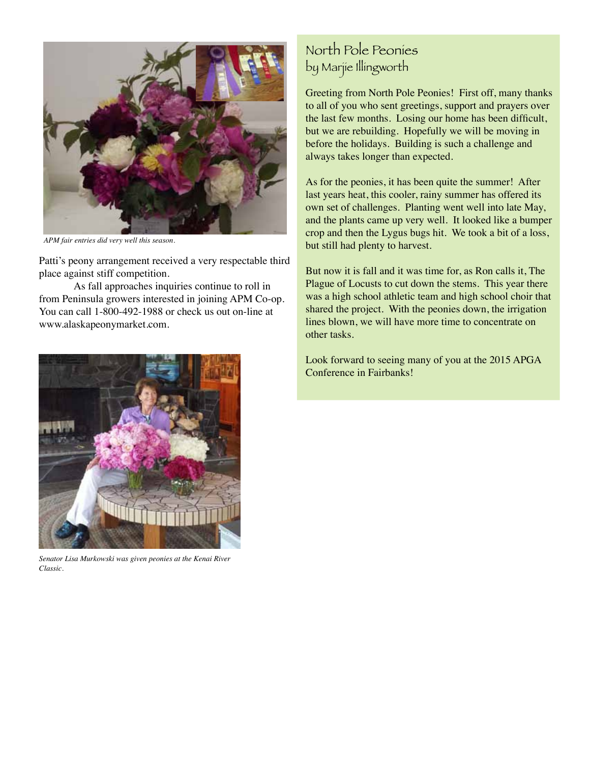

*APM fair entries did very well this season.*

Patti's peony arrangement received a very respectable third place against stiff competition.

As fall approaches inquiries continue to roll in from Peninsula growers interested in joining APM Co-op. You can call 1-800-492-1988 or check us out on-line at www.alaskapeonymarket.com.



*Senator Lisa Murkowski was given peonies at the Kenai River Classic.*

# North Pole Peonies by Marjie Illingworth

Greeting from North Pole Peonies! First off, many thanks to all of you who sent greetings, support and prayers over the last few months. Losing our home has been difficult, but we are rebuilding. Hopefully we will be moving in before the holidays. Building is such a challenge and always takes longer than expected.

As for the peonies, it has been quite the summer! After last years heat, this cooler, rainy summer has offered its own set of challenges. Planting went well into late May, and the plants came up very well. It looked like a bumper crop and then the Lygus bugs hit. We took a bit of a loss, but still had plenty to harvest.

But now it is fall and it was time for, as Ron calls it, The Plague of Locusts to cut down the stems. This year there was a high school athletic team and high school choir that shared the project. With the peonies down, the irrigation lines blown, we will have more time to concentrate on other tasks.

Look forward to seeing many of you at the 2015 APGA Conference in Fairbanks!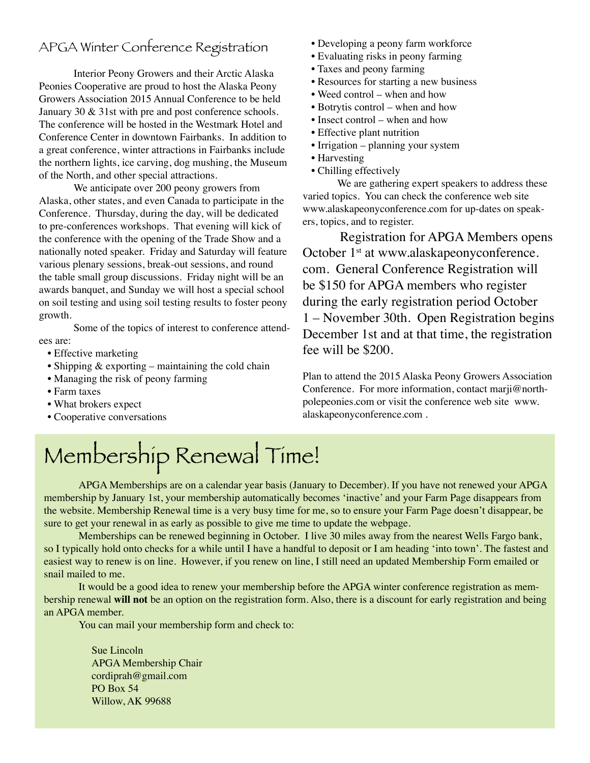# APGA Winter Conference Registration

Interior Peony Growers and their Arctic Alaska Peonies Cooperative are proud to host the Alaska Peony Growers Association 2015 Annual Conference to be held January 30 & 31st with pre and post conference schools. The conference will be hosted in the Westmark Hotel and Conference Center in downtown Fairbanks. In addition to a great conference, winter attractions in Fairbanks include the northern lights, ice carving, dog mushing, the Museum of the North, and other special attractions.

We anticipate over 200 peony growers from Alaska, other states, and even Canada to participate in the Conference. Thursday, during the day, will be dedicated to pre-conferences workshops. That evening will kick of the conference with the opening of the Trade Show and a nationally noted speaker. Friday and Saturday will feature various plenary sessions, break-out sessions, and round the table small group discussions. Friday night will be an awards banquet, and Sunday we will host a special school on soil testing and using soil testing results to foster peony growth.

Some of the topics of interest to conference attendees are:

- Effective marketing
- Shipping  $&$  exporting maintaining the cold chain
- Managing the risk of peony farming
- Farm taxes
- What brokers expect
- Cooperative conversations
- Developing a peony farm workforce
- Evaluating risks in peony farming
- Taxes and peony farming
- Resources for starting a new business
- Weed control when and how
- Botrytis control when and how
- Insect control when and how
- Effective plant nutrition
- Irrigation planning your system
- Harvesting
- Chilling effectively

We are gathering expert speakers to address these varied topics. You can check the conference web site www.alaskapeonyconference.com for up-dates on speakers, topics, and to register.

Registration for APGA Members opens October 1<sup>st</sup> at www.alaskapeonyconference. com. General Conference Registration will be \$150 for APGA members who register during the early registration period October 1 – November 30th. Open Registration begins December 1st and at that time, the registration fee will be \$200.

Plan to attend the 2015 Alaska Peony Growers Association Conference. For more information, contact marji@northpolepeonies.com or visit the conference web site www. alaskapeonyconference.com .

# Membership Renewal Time!

APGA Memberships are on a calendar year basis (January to December). If you have not renewed your APGA membership by January 1st, your membership automatically becomes 'inactive' and your Farm Page disappears from the website. Membership Renewal time is a very busy time for me, so to ensure your Farm Page doesn't disappear, be sure to get your renewal in as early as possible to give me time to update the webpage.

Memberships can be renewed beginning in October. I live 30 miles away from the nearest Wells Fargo bank, so I typically hold onto checks for a while until I have a handful to deposit or I am heading 'into town'. The fastest and easiest way to renew is on line. However, if you renew on line, I still need an updated Membership Form emailed or snail mailed to me.

It would be a good idea to renew your membership before the APGA winter conference registration as membership renewal **will not** be an option on the registration form. Also, there is a discount for early registration and being an APGA member.

You can mail your membership form and check to:

Sue Lincoln APGA Membership Chair cordiprah@gmail.com PO Box 54 Willow, AK 99688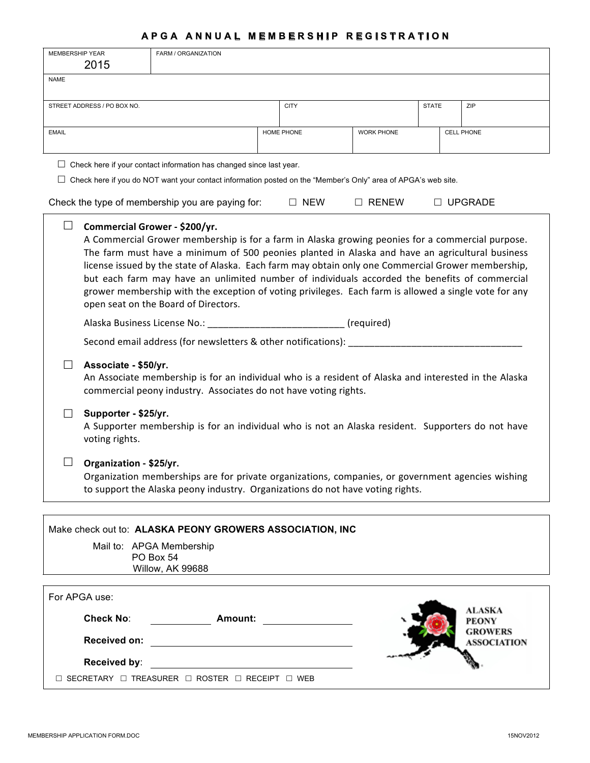### APGA ANNUAL MEMBERSHIP REGISTRATION

| <b>MEMBERSHIP YEAR</b><br>2015                                                                                       | FARM / ORGANIZATION                                                                                                                                                                                                                                                                                                                                                                                                                                                                                                 |             |                   |              |                                      |
|----------------------------------------------------------------------------------------------------------------------|---------------------------------------------------------------------------------------------------------------------------------------------------------------------------------------------------------------------------------------------------------------------------------------------------------------------------------------------------------------------------------------------------------------------------------------------------------------------------------------------------------------------|-------------|-------------------|--------------|--------------------------------------|
| <b>NAME</b>                                                                                                          |                                                                                                                                                                                                                                                                                                                                                                                                                                                                                                                     |             |                   |              |                                      |
| STREET ADDRESS / PO BOX NO.                                                                                          |                                                                                                                                                                                                                                                                                                                                                                                                                                                                                                                     | <b>CITY</b> |                   | <b>STATE</b> | ZIP                                  |
| <b>EMAIL</b>                                                                                                         |                                                                                                                                                                                                                                                                                                                                                                                                                                                                                                                     | HOME PHONE  | <b>WORK PHONE</b> |              | <b>CELL PHONE</b>                    |
|                                                                                                                      |                                                                                                                                                                                                                                                                                                                                                                                                                                                                                                                     |             |                   |              |                                      |
| $\Box$ Check here if your contact information has changed since last year.                                           |                                                                                                                                                                                                                                                                                                                                                                                                                                                                                                                     |             |                   |              |                                      |
| $\Box$ Check here if you do NOT want your contact information posted on the "Member's Only" area of APGA's web site. |                                                                                                                                                                                                                                                                                                                                                                                                                                                                                                                     |             |                   |              |                                      |
| Check the type of membership you are paying for:                                                                     |                                                                                                                                                                                                                                                                                                                                                                                                                                                                                                                     | $\Box$ NEW  | $\Box$ RENEW      |              | $\Box$ UPGRADE                       |
| $\Box$<br>Commercial Grower - \$200/yr.<br>open seat on the Board of Directors.                                      | A Commercial Grower membership is for a farm in Alaska growing peonies for a commercial purpose.<br>The farm must have a minimum of 500 peonies planted in Alaska and have an agricultural business<br>license issued by the state of Alaska. Each farm may obtain only one Commercial Grower membership,<br>but each farm may have an unlimited number of individuals accorded the benefits of commercial<br>grower membership with the exception of voting privileges. Each farm is allowed a single vote for any |             |                   |              |                                      |
|                                                                                                                      | Alaska Business License No.: _______________________________ (required)                                                                                                                                                                                                                                                                                                                                                                                                                                             |             |                   |              |                                      |
|                                                                                                                      | Second email address (for newsletters & other notifications): _________________________                                                                                                                                                                                                                                                                                                                                                                                                                             |             |                   |              |                                      |
| Associate - \$50/yr.<br>Supporter - \$25/yr.                                                                         | An Associate membership is for an individual who is a resident of Alaska and interested in the Alaska<br>commercial peony industry. Associates do not have voting rights.<br>A Supporter membership is for an individual who is not an Alaska resident. Supporters do not have                                                                                                                                                                                                                                      |             |                   |              |                                      |
| voting rights.<br>Organization - \$25/yr.                                                                            | Organization memberships are for private organizations, companies, or government agencies wishing<br>to support the Alaska peony industry. Organizations do not have voting rights.                                                                                                                                                                                                                                                                                                                                 |             |                   |              |                                      |
| Make check out to: ALASKA PEONY GROWERS ASSOCIATION, INC                                                             |                                                                                                                                                                                                                                                                                                                                                                                                                                                                                                                     |             |                   |              |                                      |
| Mail to: APGA Membership<br>PO Box 54<br>Willow, AK 99688                                                            |                                                                                                                                                                                                                                                                                                                                                                                                                                                                                                                     |             |                   |              |                                      |
| For APGA use:                                                                                                        |                                                                                                                                                                                                                                                                                                                                                                                                                                                                                                                     |             |                   |              |                                      |
| <b>Check No:</b>                                                                                                     | <b>Example 12 Amount:</b>                                                                                                                                                                                                                                                                                                                                                                                                                                                                                           |             |                   |              | ALASKA<br><b>PEONY</b>               |
| <b>Received on:</b>                                                                                                  |                                                                                                                                                                                                                                                                                                                                                                                                                                                                                                                     |             |                   |              | <b>GROWERS</b><br><b>ASSOCIATION</b> |
| Received by:                                                                                                         |                                                                                                                                                                                                                                                                                                                                                                                                                                                                                                                     |             |                   |              |                                      |
| $\Box$ SECRETARY $\Box$ TREASURER $\Box$ ROSTER $\Box$ RECEIPT $\Box$ WEB                                            |                                                                                                                                                                                                                                                                                                                                                                                                                                                                                                                     |             |                   |              |                                      |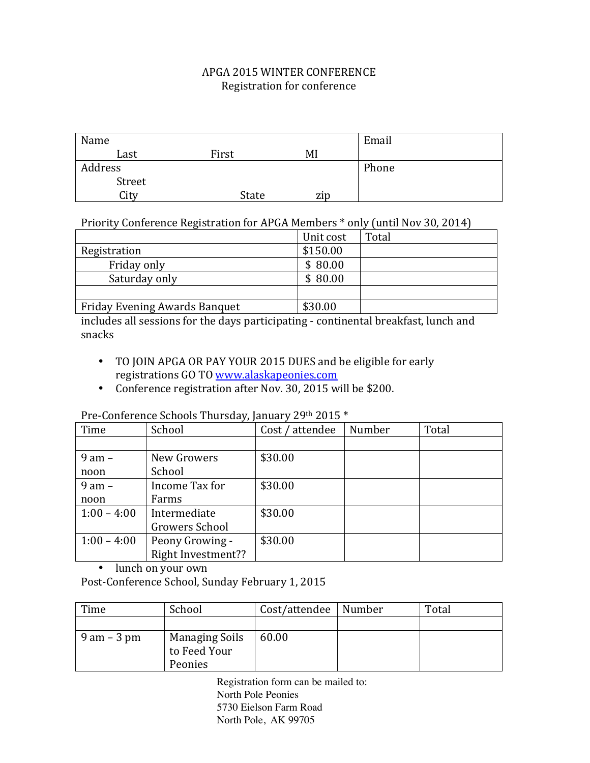#### APGA 2015 WINTER CONFERENCE Registration for conference

| Name               |       |                | Email |
|--------------------|-------|----------------|-------|
| Last               | First | M <sub>l</sub> |       |
| Address            |       |                | Phone |
| Street             |       |                |       |
| r.,<br><b>CITY</b> | State | zip            |       |

#### Priority Conference Registration for APGA Members  $*$  only (until Nov 30, 2014)

|                               | Unit cost | Total |
|-------------------------------|-----------|-------|
| Registration                  | \$150.00  |       |
| Friday only                   | \$80.00   |       |
| Saturday only                 | \$80.00   |       |
|                               |           |       |
| Friday Evening Awards Banquet | \$30.00   |       |

includes all sessions for the days participating - continental breakfast, lunch and snacks

- TO JOIN APGA OR PAY YOUR 2015 DUES and be eligible for early registrations GO TO www.alaskapeonies.com
- Conference registration after Nov. 30, 2015 will be \$200.

#### Pre-Conference Schools Thursday, January 29th 2015 \*

| Time          | J <i>' J</i><br>School | Cost / attendee | Number | Total |
|---------------|------------------------|-----------------|--------|-------|
|               |                        |                 |        |       |
| $9$ am $-$    | New Growers            | \$30.00         |        |       |
| noon          | School                 |                 |        |       |
| $9$ am $-$    | Income Tax for         | \$30.00         |        |       |
| noon          | Farms                  |                 |        |       |
| $1:00 - 4:00$ | Intermediate           | \$30.00         |        |       |
|               | Growers School         |                 |        |       |
| $1:00 - 4:00$ | Peony Growing -        | \$30.00         |        |       |
|               | Right Investment??     |                 |        |       |

• lunch on your own

Post-Conference School, Sunday February 1, 2015

| Time           | School                                           | Cost/attendee | Number | Total |
|----------------|--------------------------------------------------|---------------|--------|-------|
|                |                                                  |               |        |       |
| $9$ am $-3$ pm | <b>Managing Soils</b><br>to Feed Your<br>Peonies | 60.00         |        |       |

Registration form can be mailed to: North Pole Peonies 5730 Eielson Farm Road North Pole, AK 99705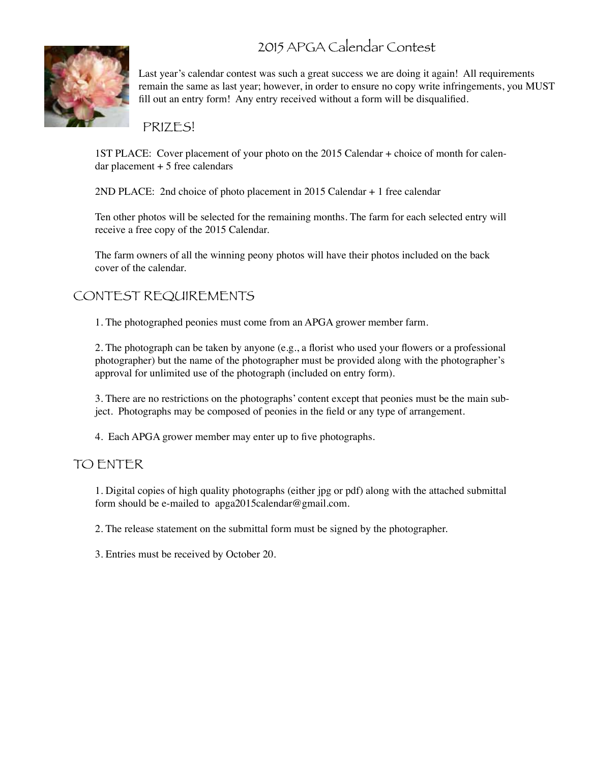# 2015 APGA Calendar Contest



Last year's calendar contest was such a great success we are doing it again! All requirements remain the same as last year; however, in order to ensure no copy write infringements, you MUST fill out an entry form! Any entry received without a form will be disqualified.

PRIZES!

1ST PLACE: Cover placement of your photo on the 2015 Calendar + choice of month for calendar placement  $+ 5$  free calendars

2ND PLACE: 2nd choice of photo placement in 2015 Calendar + 1 free calendar

Ten other photos will be selected for the remaining months. The farm for each selected entry will receive a free copy of the 2015 Calendar.

The farm owners of all the winning peony photos will have their photos included on the back cover of the calendar.

## CONTEST REQUIREMENTS

1. The photographed peonies must come from an APGA grower member farm.

2. The photograph can be taken by anyone (e.g., a florist who used your flowers or a professional photographer) but the name of the photographer must be provided along with the photographer's approval for unlimited use of the photograph (included on entry form).

3. There are no restrictions on the photographs' content except that peonies must be the main subject. Photographs may be composed of peonies in the field or any type of arrangement.

4. Each APGA grower member may enter up to five photographs.

## TO ENTER

1. Digital copies of high quality photographs (either jpg or pdf) along with the attached submittal form should be e-mailed to apga2015calendar@gmail.com.

2. The release statement on the submittal form must be signed by the photographer.

3. Entries must be received by October 20.